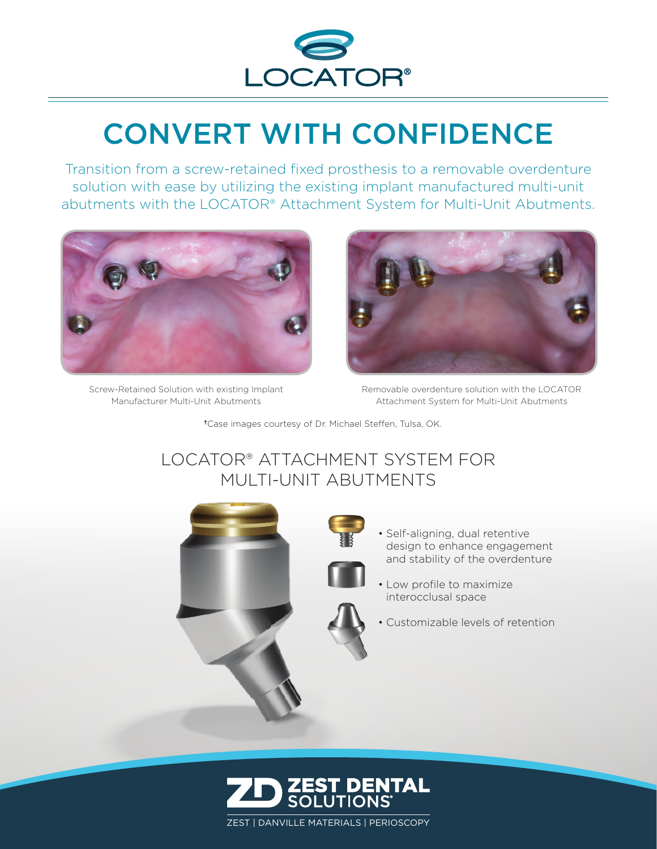

## CONVERT WITH CONFIDENCE

Transition from a screw-retained fixed prosthesis to a removable overdenture solution with ease by utilizing the existing implant manufactured multi-unit abutments with the LOCATOR® Attachment System for Multi-Unit Abutments.



Screw-Retained Solution with existing Implant Manufacturer Multi-Unit Abutments



Removable overdenture solution with the LOCATOR Attachment System for Multi-Unit Abutments

✝Case images courtesy of Dr. Michael Steffen, Tulsa, OK.

## LOCATOR® ATTACHMENT SYSTEM FOR MULTI-UNIT ABUTMENTS



- Self-aligning, dual retentive design to enhance engagement and stability of the overdenture
- Low profile to maximize interocclusal space
- Customizable levels of retention